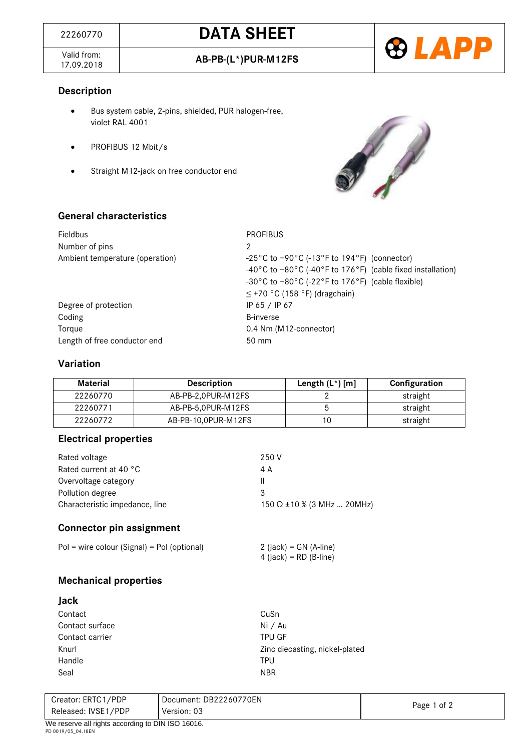Valid from:<br>17.09.2018



### **Description**

- Bus system cable, 2-pins, shielded, PUR halogen-free, violet RAL 4001
- PROFIBUS 12 Mbit/s
- Straight M12-jack on free conductor end



## **General characteristics**

| <b>Fieldbus</b><br>Number of pins<br>Ambient temperature (operation)     | <b>PROFIBUS</b><br>2<br>$-25\degree$ C to +90 $\degree$ C (-13 $\degree$ F to 194 $\degree$ F) (connector)<br>-40°C to +80°C (-40°F to 176°F) (cable fixed installation)<br>-30°C to +80°C (-22°F to 176°F) (cable flexible) |
|--------------------------------------------------------------------------|------------------------------------------------------------------------------------------------------------------------------------------------------------------------------------------------------------------------------|
| Degree of protection<br>Coding<br>Torque<br>Length of free conductor end | $\leq$ +70 °C (158 °F) (dragchain)<br>IP 65 / IP 67<br><b>B-inverse</b><br>0.4 Nm (M12-connector)<br>$50 \text{ mm}$                                                                                                         |

## **Variation**

| Material | <b>Description</b>  | Length $(L^*)$ [m] | Configuration |
|----------|---------------------|--------------------|---------------|
| 22260770 | AB-PB-2,0PUR-M12FS  |                    | straight      |
| 22260771 | AB-PB-5,0PUR-M12FS  |                    | straight      |
| 22260772 | AB-PB-10.0PUR-M12FS | 10                 | straight      |

#### **Electrical properties**

| 250 V                             |
|-----------------------------------|
| 4 A                               |
| Ш                                 |
| 3                                 |
| 150 $\Omega$ ±10 % (3 MHz  20MHz) |
|                                   |

## **Connector pin assignment**

# **Mechanical properties**

| Jack            |                                |
|-----------------|--------------------------------|
| Contact         | CuSn                           |
| Contact surface | Ni / Au                        |
| Contact carrier | <b>TPU GF</b>                  |
| Knurl           | Zinc diecasting, nickel-plated |
| Handle          | <b>TPU</b>                     |
| Seal            | <b>NBR</b>                     |

| Creator: ERTC1/PDP                                 | Document: DB22260770EN | Page 1 of 2 |
|----------------------------------------------------|------------------------|-------------|
| Released: IVSE1/PDP                                | Version: 03            |             |
| $M2$ receive all rights according to DIN ISO 16016 |                        |             |

 $2$  (jack) = GN (A-line)  $4$  (jack) = RD (B-line)